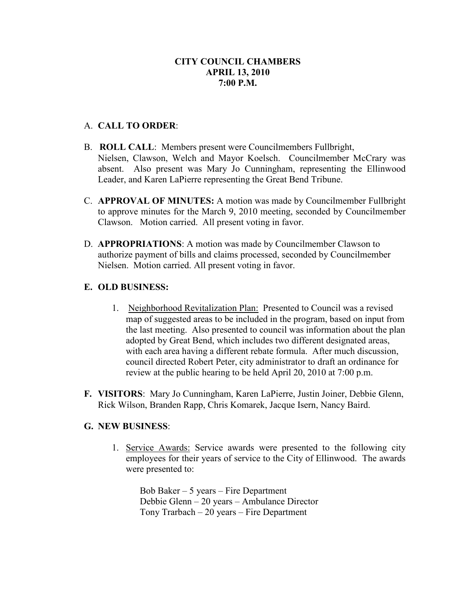#### A. **CALL TO ORDER**:

- B. **ROLL CALL**: Members present were Councilmembers Fullbright, Nielsen, Clawson, Welch and Mayor Koelsch. Councilmember McCrary was absent. Also present was Mary Jo Cunningham, representing the Ellinwood Leader, and Karen LaPierre representing the Great Bend Tribune.
- C. **APPROVAL OF MINUTES:** A motion was made by Councilmember Fullbright to approve minutes for the March 9, 2010 meeting, seconded by Councilmember Clawson. Motion carried. All present voting in favor.
- D. **APPROPRIATIONS**: A motion was made by Councilmember Clawson to authorize payment of bills and claims processed, seconded by Councilmember Nielsen. Motion carried. All present voting in favor.

#### **E. OLD BUSINESS:**

- 1. Neighborhood Revitalization Plan: Presented to Council was a revised map of suggested areas to be included in the program, based on input from the last meeting. Also presented to council was information about the plan adopted by Great Bend, which includes two different designated areas, with each area having a different rebate formula. After much discussion, council directed Robert Peter, city administrator to draft an ordinance for review at the public hearing to be held April 20, 2010 at 7:00 p.m.
- **F. VISITORS**: Mary Jo Cunningham, Karen LaPierre, Justin Joiner, Debbie Glenn, Rick Wilson, Branden Rapp, Chris Komarek, Jacque Isern, Nancy Baird.

#### **G. NEW BUSINESS**:

1. Service Awards: Service awards were presented to the following city employees for their years of service to the City of Ellinwood. The awards were presented to:

Bob Baker – 5 years – Fire Department Debbie Glenn – 20 years – Ambulance Director Tony Trarbach – 20 years – Fire Department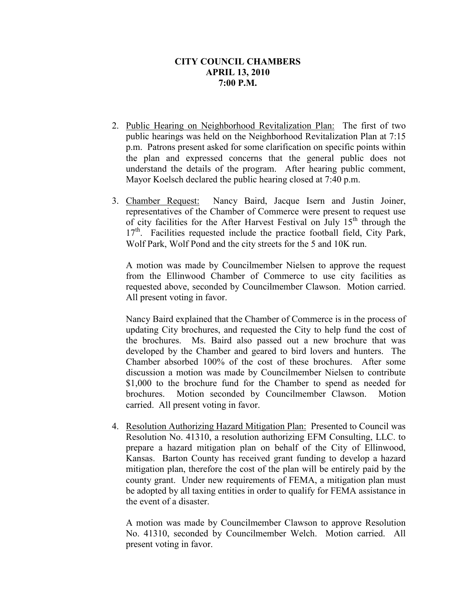- 2. Public Hearing on Neighborhood Revitalization Plan: The first of two public hearings was held on the Neighborhood Revitalization Plan at 7:15 p.m. Patrons present asked for some clarification on specific points within the plan and expressed concerns that the general public does not understand the details of the program. After hearing public comment, Mayor Koelsch declared the public hearing closed at 7:40 p.m.
- 3. Chamber Request: Nancy Baird, Jacque Isern and Justin Joiner, representatives of the Chamber of Commerce were present to request use of city facilities for the After Harvest Festival on July  $15<sup>th</sup>$  through the 17<sup>th</sup>. Facilities requested include the practice football field, City Park, Wolf Park, Wolf Pond and the city streets for the 5 and 10K run.

A motion was made by Councilmember Nielsen to approve the request from the Ellinwood Chamber of Commerce to use city facilities as requested above, seconded by Councilmember Clawson. Motion carried. All present voting in favor.

Nancy Baird explained that the Chamber of Commerce is in the process of updating City brochures, and requested the City to help fund the cost of the brochures. Ms. Baird also passed out a new brochure that was developed by the Chamber and geared to bird lovers and hunters. The Chamber absorbed 100% of the cost of these brochures. After some discussion a motion was made by Councilmember Nielsen to contribute \$1,000 to the brochure fund for the Chamber to spend as needed for brochures. Motion seconded by Councilmember Clawson. Motion carried. All present voting in favor.

4. Resolution Authorizing Hazard Mitigation Plan: Presented to Council was Resolution No. 41310, a resolution authorizing EFM Consulting, LLC. to prepare a hazard mitigation plan on behalf of the City of Ellinwood, Kansas. Barton County has received grant funding to develop a hazard mitigation plan, therefore the cost of the plan will be entirely paid by the county grant. Under new requirements of FEMA, a mitigation plan must be adopted by all taxing entities in order to qualify for FEMA assistance in the event of a disaster.

A motion was made by Councilmember Clawson to approve Resolution No. 41310, seconded by Councilmember Welch. Motion carried. All present voting in favor.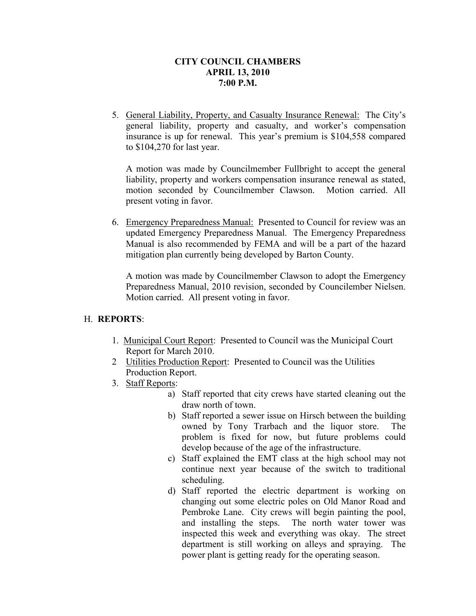5. General Liability, Property, and Casualty Insurance Renewal: The City's general liability, property and casualty, and worker's compensation insurance is up for renewal. This year's premium is \$104,558 compared to \$104,270 for last year.

A motion was made by Councilmember Fullbright to accept the general liability, property and workers compensation insurance renewal as stated, motion seconded by Councilmember Clawson. Motion carried. All present voting in favor.

6. Emergency Preparedness Manual: Presented to Council for review was an updated Emergency Preparedness Manual. The Emergency Preparedness Manual is also recommended by FEMA and will be a part of the hazard mitigation plan currently being developed by Barton County.

A motion was made by Councilmember Clawson to adopt the Emergency Preparedness Manual, 2010 revision, seconded by Councilember Nielsen. Motion carried. All present voting in favor.

# H. **REPORTS**:

- 1. Municipal Court Report: Presented to Council was the Municipal Court Report for March 2010.
- 2 Utilities Production Report: Presented to Council was the Utilities Production Report.
- 3. Staff Reports:
	- a) Staff reported that city crews have started cleaning out the draw north of town.
	- b) Staff reported a sewer issue on Hirsch between the building owned by Tony Trarbach and the liquor store. The problem is fixed for now, but future problems could develop because of the age of the infrastructure.
	- c) Staff explained the EMT class at the high school may not continue next year because of the switch to traditional scheduling.
	- d) Staff reported the electric department is working on changing out some electric poles on Old Manor Road and Pembroke Lane. City crews will begin painting the pool, and installing the steps. The north water tower was inspected this week and everything was okay. The street department is still working on alleys and spraying. The power plant is getting ready for the operating season.